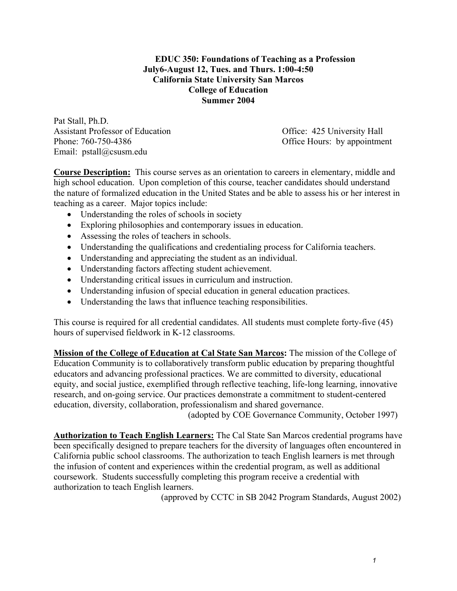## **EDUC 350: Foundations of Teaching as a Profession July6-August 12, Tues. and Thurs. 1:00-4:50 California State University San Marcos College of Education Summer 2004**

Pat Stall, Ph.D. Assistant Professor of Education Office: 425 University Hall Phone: 760-750-4386 Office Hours: by appointment Email: pstall@csusm.edu

**Course Description:** This course serves as an orientation to careers in elementary, middle and high school education. Upon completion of this course, teacher candidates should understand the nature of formalized education in the United States and be able to assess his or her interest in teaching as a career. Major topics include:

- Understanding the roles of schools in society
- Exploring philosophies and contemporary issues in education.
- Assessing the roles of teachers in schools.
- Understanding the qualifications and credentialing process for California teachers.
- Understanding and appreciating the student as an individual.
- Understanding factors affecting student achievement.
- Understanding critical issues in curriculum and instruction.
- Understanding infusion of special education in general education practices.
- Understanding the laws that influence teaching responsibilities.

This course is required for all credential candidates. All students must complete forty-five (45) hours of supervised fieldwork in K-12 classrooms.

**Mission of the College of Education at Cal State San Marcos:** The mission of the College of Education Community is to collaboratively transform public education by preparing thoughtful educators and advancing professional practices. We are committed to diversity, educational equity, and social justice, exemplified through reflective teaching, life-long learning, innovative research, and on-going service. Our practices demonstrate a commitment to student-centered education, diversity, collaboration, professionalism and shared governance.

(adopted by COE Governance Community, October 1997)

**Authorization to Teach English Learners:** The Cal State San Marcos credential programs have been specifically designed to prepare teachers for the diversity of languages often encountered in California public school classrooms. The authorization to teach English learners is met through the infusion of content and experiences within the credential program, as well as additional coursework. Students successfully completing this program receive a credential with authorization to teach English learners.

(approved by CCTC in SB 2042 Program Standards, August 2002)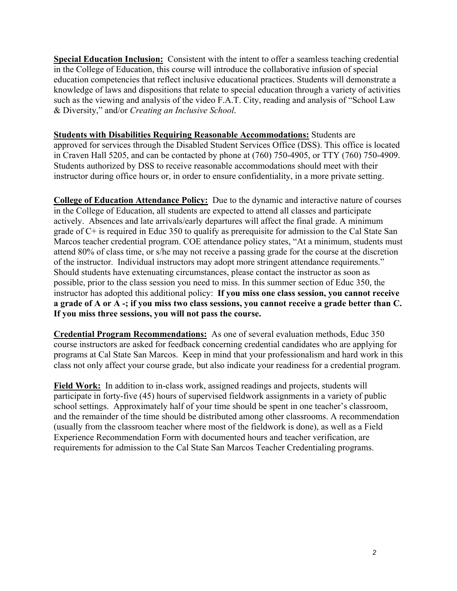**Special Education Inclusion:** Consistent with the intent to offer a seamless teaching credential in the College of Education, this course will introduce the collaborative infusion of special education competencies that reflect inclusive educational practices. Students will demonstrate a knowledge of laws and dispositions that relate to special education through a variety of activities such as the viewing and analysis of the video F.A.T. City, reading and analysis of "School Law & Diversity," and/or *Creating an Inclusive School*.

**Students with Disabilities Requiring Reasonable Accommodations:** Students are approved for services through the Disabled Student Services Office (DSS). This office is located in Craven Hall 5205, and can be contacted by phone at (760) 750-4905, or TTY (760) 750-4909. Students authorized by DSS to receive reasonable accommodations should meet with their instructor during office hours or, in order to ensure confidentiality, in a more private setting.

**College of Education Attendance Policy:** Due to the dynamic and interactive nature of courses in the College of Education, all students are expected to attend all classes and participate actively. Absences and late arrivals/early departures will affect the final grade. A minimum grade of C+ is required in Educ 350 to qualify as prerequisite for admission to the Cal State San Marcos teacher credential program. COE attendance policy states, "At a minimum, students must attend 80% of class time, or s/he may not receive a passing grade for the course at the discretion of the instructor. Individual instructors may adopt more stringent attendance requirements." Should students have extenuating circumstances, please contact the instructor as soon as possible, prior to the class session you need to miss. In this summer section of Educ 350, the instructor has adopted this additional policy: **If you miss one class session, you cannot receive a grade of A or A -; if you miss two class sessions, you cannot receive a grade better than C. If you miss three sessions, you will not pass the course.** 

**Credential Program Recommendations:** As one of several evaluation methods, Educ 350 course instructors are asked for feedback concerning credential candidates who are applying for programs at Cal State San Marcos. Keep in mind that your professionalism and hard work in this class not only affect your course grade, but also indicate your readiness for a credential program.

**Field Work:** In addition to in-class work, assigned readings and projects, students will participate in forty-five (45) hours of supervised fieldwork assignments in a variety of public school settings. Approximately half of your time should be spent in one teacher's classroom, and the remainder of the time should be distributed among other classrooms. A recommendation (usually from the classroom teacher where most of the fieldwork is done), as well as a Field Experience Recommendation Form with documented hours and teacher verification, are requirements for admission to the Cal State San Marcos Teacher Credentialing programs.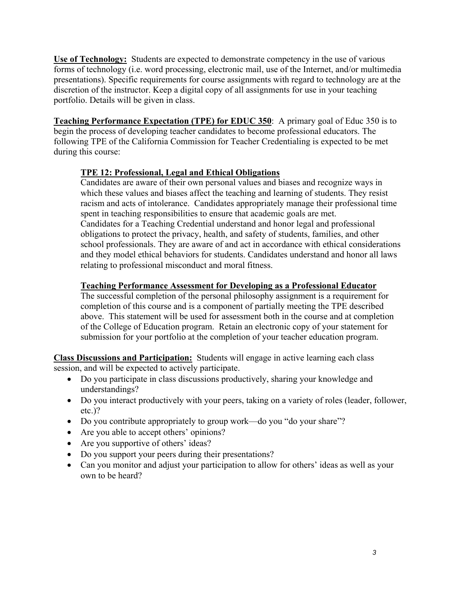**Use of Technology:** Students are expected to demonstrate competency in the use of various forms of technology (i.e. word processing, electronic mail, use of the Internet, and/or multimedia presentations). Specific requirements for course assignments with regard to technology are at the discretion of the instructor. Keep a digital copy of all assignments for use in your teaching portfolio. Details will be given in class.

**Teaching Performance Expectation (TPE) for EDUC 350**: A primary goal of Educ 350 is to begin the process of developing teacher candidates to become professional educators. The following TPE of the California Commission for Teacher Credentialing is expected to be met during this course:

# **TPE 12: Professional, Legal and Ethical Obligations**

Candidates are aware of their own personal values and biases and recognize ways in which these values and biases affect the teaching and learning of students. They resist racism and acts of intolerance. Candidates appropriately manage their professional time spent in teaching responsibilities to ensure that academic goals are met. Candidates for a Teaching Credential understand and honor legal and professional obligations to protect the privacy, health, and safety of students, families, and other school professionals. They are aware of and act in accordance with ethical considerations and they model ethical behaviors for students. Candidates understand and honor all laws relating to professional misconduct and moral fitness.

# **Teaching Performance Assessment for Developing as a Professional Educator**

The successful completion of the personal philosophy assignment is a requirement for completion of this course and is a component of partially meeting the TPE described above. This statement will be used for assessment both in the course and at completion of the College of Education program. Retain an electronic copy of your statement for submission for your portfolio at the completion of your teacher education program.

**Class Discussions and Participation:** Students will engage in active learning each class session, and will be expected to actively participate.

- Do you participate in class discussions productively, sharing your knowledge and understandings?
- Do you interact productively with your peers, taking on a variety of roles (leader, follower, etc.)?
- Do you contribute appropriately to group work—do you "do your share"?
- Are you able to accept others' opinions?
- Are you supportive of others' ideas?
- Do you support your peers during their presentations?
- Can you monitor and adjust your participation to allow for others' ideas as well as your own to be heard?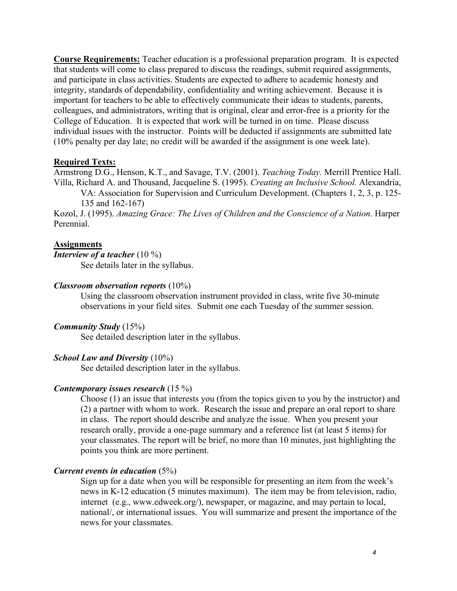**Course Requirements:** Teacher education is a professional preparation program. It is expected that students will come to class prepared to discuss the readings, submit required assignments, and participate in class activities. Students are expected to adhere to academic honesty and integrity, standards of dependability, confidentiality and writing achievement. Because it is important for teachers to be able to effectively communicate their ideas to students, parents, colleagues, and administrators, writing that is original, clear and error-free is a priority for the College of Education. It is expected that work will be turned in on time. Please discuss individual issues with the instructor. Points will be deducted if assignments are submitted late (10% penalty per day late; no credit will be awarded if the assignment is one week late).

#### **Required Texts:**

Armstrong D.G., Henson, K.T., and Savage, T.V. (2001). *Teaching Today.* Merrill Prentice Hall. Villa, Richard A. and Thousand, Jacqueline S. (1995). *Creating an Inclusive School.* Alexandria,

VA: Association for Supervision and Curriculum Development. (Chapters 1, 2, 3, p. 125- 135 and 162-167)

Kozol, J. (1995). *Amazing Grace: The Lives of Children and the Conscience of a Nation*. Harper Perennial.

#### **Assignments**

*Interview of a teacher* (10 %)

See details later in the syllabus.

#### *Classroom observation reports* (10%)

Using the classroom observation instrument provided in class, write five 30-minute observations in your field sites. Submit one each Tuesday of the summer session.

#### *Community Study* (15%)

See detailed description later in the syllabus.

#### *School Law and Diversity* (10%)

See detailed description later in the syllabus.

#### *Contemporary issues research* (15 %)

Choose (1) an issue that interests you (from the topics given to you by the instructor) and (2) a partner with whom to work. Research the issue and prepare an oral report to share in class. The report should describe and analyze the issue. When you present your research orally, provide a one-page summary and a reference list (at least 5 items) for your classmates. The report will be brief, no more than 10 minutes, just highlighting the points you think are more pertinent.

#### *Current events in education* (5%)

Sign up for a date when you will be responsible for presenting an item from the week's news in K-12 education (5 minutes maximum). The item may be from television, radio, internet (e.g., www.edweek.org/), newspaper, or magazine, and may pertain to local, national/, or international issues. You will summarize and present the importance of the news for your classmates.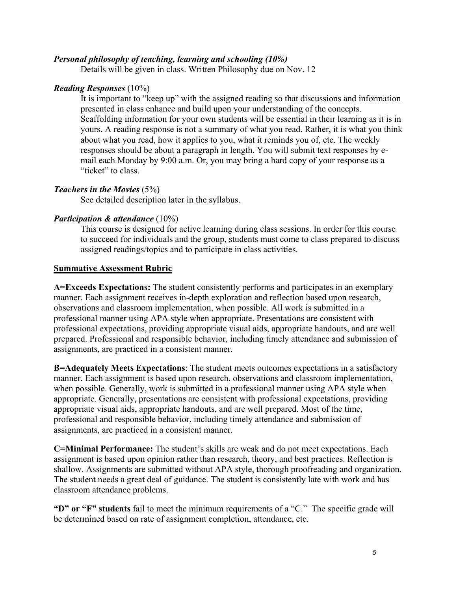## *Personal philosophy of teaching, learning and schooling (10%)*

Details will be given in class. Written Philosophy due on Nov. 12

#### *Reading Responses* (10%)

It is important to "keep up" with the assigned reading so that discussions and information presented in class enhance and build upon your understanding of the concepts. Scaffolding information for your own students will be essential in their learning as it is in yours. A reading response is not a summary of what you read. Rather, it is what you think about what you read, how it applies to you, what it reminds you of, etc. The weekly responses should be about a paragraph in length. You will submit text responses by email each Monday by 9:00 a.m. Or, you may bring a hard copy of your response as a "ticket" to class.

#### *Teachers in the Movies* (5%)

See detailed description later in the syllabus.

## *Participation & attendance* (10%)

This course is designed for active learning during class sessions. In order for this course to succeed for individuals and the group, students must come to class prepared to discuss assigned readings/topics and to participate in class activities.

#### **Summative Assessment Rubric**

**A=Exceeds Expectations:** The student consistently performs and participates in an exemplary manner. Each assignment receives in-depth exploration and reflection based upon research, observations and classroom implementation, when possible. All work is submitted in a professional manner using APA style when appropriate. Presentations are consistent with professional expectations, providing appropriate visual aids, appropriate handouts, and are well prepared. Professional and responsible behavior, including timely attendance and submission of assignments, are practiced in a consistent manner.

**B=Adequately Meets Expectations**: The student meets outcomes expectations in a satisfactory manner. Each assignment is based upon research, observations and classroom implementation, when possible. Generally, work is submitted in a professional manner using APA style when appropriate. Generally, presentations are consistent with professional expectations, providing appropriate visual aids, appropriate handouts, and are well prepared. Most of the time, professional and responsible behavior, including timely attendance and submission of assignments, are practiced in a consistent manner.

**C=Minimal Performance:** The student's skills are weak and do not meet expectations. Each assignment is based upon opinion rather than research, theory, and best practices. Reflection is shallow. Assignments are submitted without APA style, thorough proofreading and organization. The student needs a great deal of guidance. The student is consistently late with work and has classroom attendance problems.

**"D" or "F" students** fail to meet the minimum requirements of a "C." The specific grade will be determined based on rate of assignment completion, attendance, etc.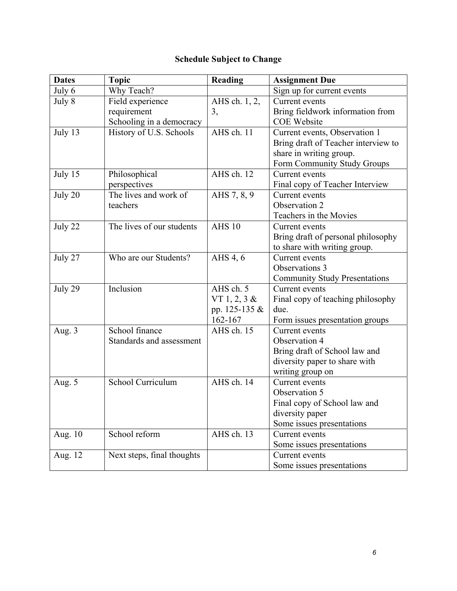# **Schedule Subject to Change**

| <b>Dates</b> | <b>Topic</b>               | <b>Reading</b> | <b>Assignment Due</b>                |
|--------------|----------------------------|----------------|--------------------------------------|
| July 6       | Why Teach?                 |                | Sign up for current events           |
| July 8       | Field experience           | AHS ch. 1, 2,  | Current events                       |
|              | requirement                | 3,             | Bring fieldwork information from     |
|              | Schooling in a democracy   |                | <b>COE</b> Website                   |
| July 13      | History of U.S. Schools    | AHS ch. 11     | Current events, Observation 1        |
|              |                            |                | Bring draft of Teacher interview to  |
|              |                            |                | share in writing group.              |
|              |                            |                | Form Community Study Groups          |
| July 15      | Philosophical              | AHS ch. 12     | Current events                       |
|              | perspectives               |                | Final copy of Teacher Interview      |
| July 20      | The lives and work of      | AHS 7, 8, 9    | Current events                       |
|              | teachers                   |                | Observation 2                        |
|              |                            |                | Teachers in the Movies               |
| July 22      | The lives of our students  | <b>AHS 10</b>  | Current events                       |
|              |                            |                | Bring draft of personal philosophy   |
|              |                            |                | to share with writing group.         |
| July 27      | Who are our Students?      | AHS 4, 6       | Current events                       |
|              |                            |                | Observations 3                       |
|              |                            |                | <b>Community Study Presentations</b> |
| July 29      | Inclusion                  | AHS ch. 5      | Current events                       |
|              |                            | VT 1, 2, 3 $&$ | Final copy of teaching philosophy    |
|              |                            | pp. 125-135 &  | due.                                 |
|              |                            | 162-167        | Form issues presentation groups      |
| Aug. 3       | School finance             | AHS ch. 15     | Current events                       |
|              | Standards and assessment   |                | Observation 4                        |
|              |                            |                | Bring draft of School law and        |
|              |                            |                | diversity paper to share with        |
|              |                            |                | writing group on                     |
| Aug. 5       | School Curriculum          | AHS ch. 14     | Current events                       |
|              |                            |                | Observation 5                        |
|              |                            |                | Final copy of School law and         |
|              |                            |                | diversity paper                      |
|              |                            |                | Some issues presentations            |
| Aug. 10      | School reform              | AHS ch. 13     | Current events                       |
|              |                            |                | Some issues presentations            |
| Aug. 12      | Next steps, final thoughts |                | Current events                       |
|              |                            |                | Some issues presentations            |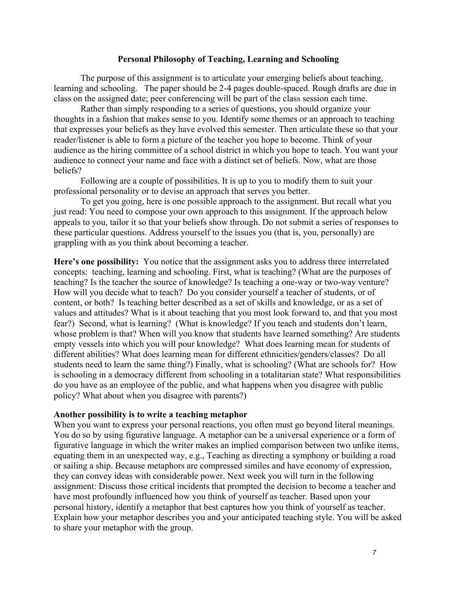#### **Personal Philosophy of Teaching, Learning and Schooling**

The purpose of this assignment is to articulate your emerging beliefs about teaching, learning and schooling. The paper should be 2-4 pages double-spaced. Rough drafts are due in class on the assigned date; peer conferencing will be part of the class session each time.

Rather than simply responding to a series of questions, you should organize your thoughts in a fashion that makes sense to you. Identify some themes or an approach to teaching that expresses your beliefs as they have evolved this semester. Then articulate these so that your reader/listener is able to form a picture of the teacher you hope to become. Think of your audience as the hiring committee of a school district in which you hope to teach. You want your audience to connect your name and face with a distinct set of beliefs. Now, what are those beliefs?

Following are a couple of possibilities. It is up to you to modify them to suit your professional personality or to devise an approach that serves you better.

To get you going, here is one possible approach to the assignment. But recall what you just read: You need to compose your own approach to this assignment. If the approach below appeals to you, tailor it so that your beliefs show through. Do not submit a series of responses to these particular questions. Address yourself to the issues you (that is, you, personally) are grappling with as you think about becoming a teacher.

**Here's one possibility:** You notice that the assignment asks you to address three interrelated concepts: teaching, learning and schooling. First, what is teaching? (What are the purposes of teaching? Is the teacher the source of knowledge? Is teaching a one-way or two-way venture? How will you decide what to teach? Do you consider yourself a teacher of students, or of content, or both? Is teaching better described as a set of skills and knowledge, or as a set of values and attitudes? What is it about teaching that you most look forward to, and that you most fear?) Second, what is learning? (What is knowledge? If you teach and students don't learn, whose problem is that? When will you know that students have learned something? Are students empty vessels into which you will pour knowledge? What does learning mean for students of different abilities? What does learning mean for different ethnicities/genders/classes? Do all students need to learn the same thing?) Finally, what is schooling? (What are schools for? How is schooling in a democracy different from schooling in a totalitarian state? What responsibilities do you have as an employee of the public, and what happens when you disagree with public policy? What about when you disagree with parents?)

#### **Another possibility is to write a teaching metaphor**

When you want to express your personal reactions, you often must go beyond literal meanings. You do so by using figurative language. A metaphor can be a universal experience or a form of figurative language in which the writer makes an implied comparison between two unlike items, equating them in an unexpected way, e.g., Teaching as directing a symphony or building a road or sailing a ship. Because metaphors are compressed similes and have economy of expression, they can convey ideas with considerable power. Next week you will turn in the following assignment: Discuss those critical incidents that prompted the decision to become a teacher and have most profoundly influenced how you think of yourself as teacher. Based upon your personal history, identify a metaphor that best captures how you think of yourself as teacher. Explain how your metaphor describes you and your anticipated teaching style. You will be asked to share your metaphor with the group.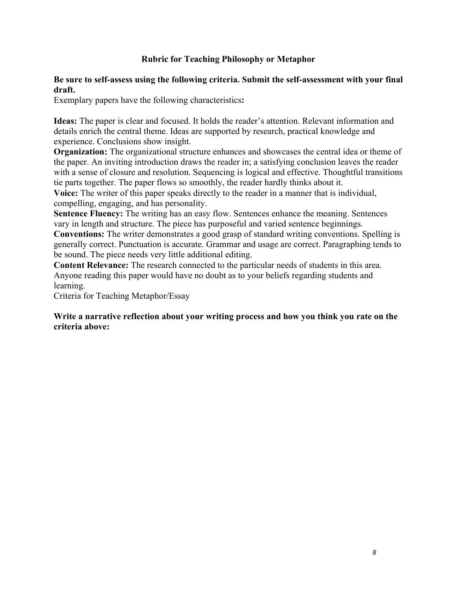# **Rubric for Teaching Philosophy or Metaphor**

#### **Be sure to self-assess using the following criteria. Submit the self-assessment with your final draft.**

Exemplary papers have the following characteristics**:** 

**Ideas:** The paper is clear and focused. It holds the reader's attention. Relevant information and details enrich the central theme. Ideas are supported by research, practical knowledge and experience. Conclusions show insight.

**Organization:** The organizational structure enhances and showcases the central idea or theme of the paper. An inviting introduction draws the reader in; a satisfying conclusion leaves the reader with a sense of closure and resolution. Sequencing is logical and effective. Thoughtful transitions tie parts together. The paper flows so smoothly, the reader hardly thinks about it.

**Voice:** The writer of this paper speaks directly to the reader in a manner that is individual, compelling, engaging, and has personality.

**Sentence Fluency:** The writing has an easy flow. Sentences enhance the meaning. Sentences vary in length and structure. The piece has purposeful and varied sentence beginnings.

**Conventions:** The writer demonstrates a good grasp of standard writing conventions. Spelling is generally correct. Punctuation is accurate. Grammar and usage are correct. Paragraphing tends to be sound. The piece needs very little additional editing.

**Content Relevance:** The research connected to the particular needs of students in this area. Anyone reading this paper would have no doubt as to your beliefs regarding students and learning.

Criteria for Teaching Metaphor/Essay

#### **Write a narrative reflection about your writing process and how you think you rate on the criteria above:**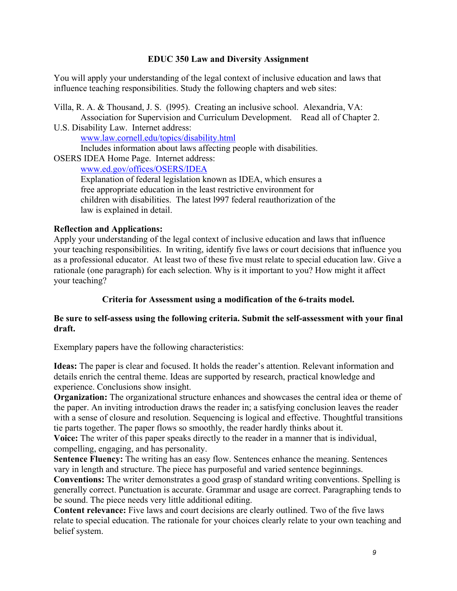## **EDUC 350 Law and Diversity Assignment**

You will apply your understanding of the legal context of inclusive education and laws that influence teaching responsibilities. Study the following chapters and web sites:

Villa, R. A. & Thousand, J. S. (l995). Creating an inclusive school. Alexandria, VA: Association for Supervision and Curriculum Development. Read all of Chapter 2. U.S. Disability Law. Internet address: www.law.cornell.edu/topics/disability.html Includes information about laws affecting people with disabilities. OSERS IDEA Home Page. Internet address: www.ed.gov/offices/OSERS/IDEA Explanation of federal legislation known as IDEA, which ensures a free appropriate education in the least restrictive environment for

children with disabilities. The latest l997 federal reauthorization of the law is explained in detail.

# **Reflection and Applications:**

Apply your understanding of the legal context of inclusive education and laws that influence your teaching responsibilities. In writing, identify five laws or court decisions that influence you as a professional educator. At least two of these five must relate to special education law. Give a rationale (one paragraph) for each selection. Why is it important to you? How might it affect your teaching?

# **Criteria for Assessment using a modification of the 6-traits model.**

## **Be sure to self-assess using the following criteria. Submit the self-assessment with your final draft.**

Exemplary papers have the following characteristics:

**Ideas:** The paper is clear and focused. It holds the reader's attention. Relevant information and details enrich the central theme. Ideas are supported by research, practical knowledge and experience. Conclusions show insight.

**Organization:** The organizational structure enhances and showcases the central idea or theme of the paper. An inviting introduction draws the reader in; a satisfying conclusion leaves the reader with a sense of closure and resolution. Sequencing is logical and effective. Thoughtful transitions tie parts together. The paper flows so smoothly, the reader hardly thinks about it.

**Voice:** The writer of this paper speaks directly to the reader in a manner that is individual, compelling, engaging, and has personality.

**Sentence Fluency:** The writing has an easy flow. Sentences enhance the meaning. Sentences vary in length and structure. The piece has purposeful and varied sentence beginnings.

**Conventions:** The writer demonstrates a good grasp of standard writing conventions. Spelling is generally correct. Punctuation is accurate. Grammar and usage are correct. Paragraphing tends to be sound. The piece needs very little additional editing.

**Content relevance:** Five laws and court decisions are clearly outlined. Two of the five laws relate to special education. The rationale for your choices clearly relate to your own teaching and belief system.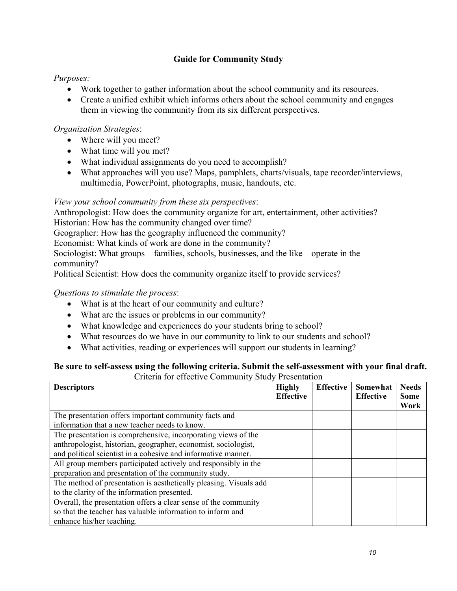# **Guide for Community Study**

# *Purposes:*

- Work together to gather information about the school community and its resources.
- Create a unified exhibit which informs others about the school community and engages them in viewing the community from its six different perspectives.

# *Organization Strategies*:

- Where will you meet?
- What time will you met?
- What individual assignments do you need to accomplish?
- What approaches will you use? Maps, pamphlets, charts/visuals, tape recorder/interviews, multimedia, PowerPoint, photographs, music, handouts, etc.

# *View your school community from these six perspectives*:

Anthropologist: How does the community organize for art, entertainment, other activities? Historian: How has the community changed over time?

Geographer: How has the geography influenced the community?

Economist: What kinds of work are done in the community?

Sociologist: What groups—families, schools, businesses, and the like—operate in the community?

Political Scientist: How does the community organize itself to provide services?

# *Questions to stimulate the process*:

- What is at the heart of our community and culture?
- What are the issues or problems in our community?
- What knowledge and experiences do your students bring to school?
- What resources do we have in our community to link to our students and school?
- What activities, reading or experiences will support our students in learning?

#### **Be sure to self-assess using the following criteria. Submit the self-assessment with your final draft.** Criteria for effective Community Study Presentation

| <b>Descriptors</b>                                                | <b>Highly</b><br><b>Effective</b> | <b>Effective</b> | Somewhat<br><b>Effective</b> | <b>Needs</b><br><b>Some</b><br>Work |
|-------------------------------------------------------------------|-----------------------------------|------------------|------------------------------|-------------------------------------|
| The presentation offers important community facts and             |                                   |                  |                              |                                     |
| information that a new teacher needs to know.                     |                                   |                  |                              |                                     |
| The presentation is comprehensive, incorporating views of the     |                                   |                  |                              |                                     |
| anthropologist, historian, geographer, economist, sociologist,    |                                   |                  |                              |                                     |
| and political scientist in a cohesive and informative manner.     |                                   |                  |                              |                                     |
| All group members participated actively and responsibly in the    |                                   |                  |                              |                                     |
| preparation and presentation of the community study.              |                                   |                  |                              |                                     |
| The method of presentation is aesthetically pleasing. Visuals add |                                   |                  |                              |                                     |
| to the clarity of the information presented.                      |                                   |                  |                              |                                     |
| Overall, the presentation offers a clear sense of the community   |                                   |                  |                              |                                     |
| so that the teacher has valuable information to inform and        |                                   |                  |                              |                                     |
| enhance his/her teaching.                                         |                                   |                  |                              |                                     |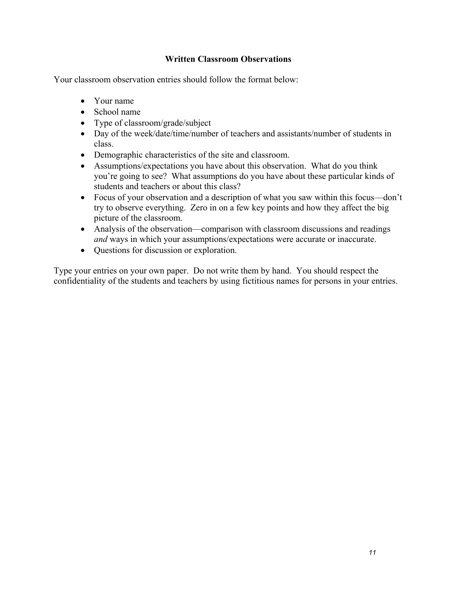# **Written Classroom Observations**

Your classroom observation entries should follow the format below:

- Your name
- School name
- Type of classroom/grade/subject
- Day of the week/date/time/number of teachers and assistants/number of students in class.
- Demographic characteristics of the site and classroom.
- Assumptions/expectations you have about this observation. What do you think you're going to see? What assumptions do you have about these particular kinds of students and teachers or about this class?
- Focus of your observation and a description of what you saw within this focus—don't try to observe everything. Zero in on a few key points and how they affect the big picture of the classroom.
- Analysis of the observation—comparison with classroom discussions and readings *and* ways in which your assumptions/expectations were accurate or inaccurate.
- Questions for discussion or exploration.

Type your entries on your own paper. Do not write them by hand. You should respect the confidentiality of the students and teachers by using fictitious names for persons in your entries.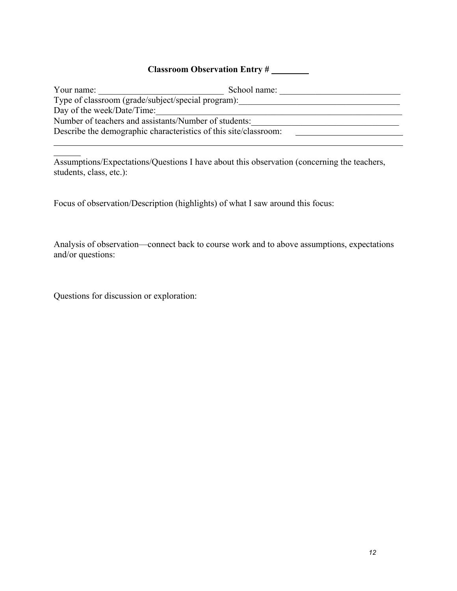# **Classroom Observation Entry #**

| Your name:                                                       | School name: |  |  |  |  |
|------------------------------------------------------------------|--------------|--|--|--|--|
| Type of classroom (grade/subject/special program):               |              |  |  |  |  |
| Day of the week/Date/Time:                                       |              |  |  |  |  |
| Number of teachers and assistants/Number of students:            |              |  |  |  |  |
| Describe the demographic characteristics of this site/classroom: |              |  |  |  |  |
|                                                                  |              |  |  |  |  |

Assumptions/Expectations/Questions I have about this observation (concerning the teachers, students, class, etc.):

Focus of observation/Description (highlights) of what I saw around this focus:

Analysis of observation—connect back to course work and to above assumptions, expectations and/or questions:

Questions for discussion or exploration: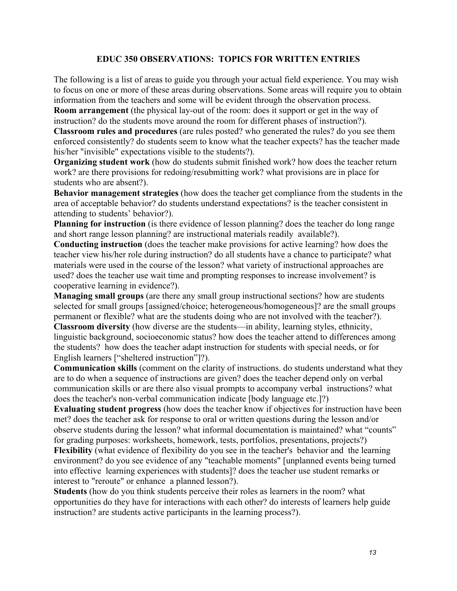## **EDUC 350 OBSERVATIONS: TOPICS FOR WRITTEN ENTRIES**

The following is a list of areas to guide you through your actual field experience. You may wish to focus on one or more of these areas during observations. Some areas will require you to obtain information from the teachers and some will be evident through the observation process.

**Room arrangement** (the physical lay-out of the room: does it support or get in the way of instruction? do the students move around the room for different phases of instruction?).

**Classroom rules and procedures** (are rules posted? who generated the rules? do you see them enforced consistently? do students seem to know what the teacher expects? has the teacher made his/her "invisible" expectations visible to the students?).

**Organizing student work** (how do students submit finished work? how does the teacher return work? are there provisions for redoing/resubmitting work? what provisions are in place for students who are absent?).

**Behavior management strategies** (how does the teacher get compliance from the students in the area of acceptable behavior? do students understand expectations? is the teacher consistent in attending to students' behavior?).

**Planning for instruction** (is there evidence of lesson planning? does the teacher do long range and short range lesson planning? are instructional materials readily available?).

**Conducting instruction** (does the teacher make provisions for active learning? how does the teacher view his/her role during instruction? do all students have a chance to participate? what materials were used in the course of the lesson? what variety of instructional approaches are used? does the teacher use wait time and prompting responses to increase involvement? is cooperative learning in evidence?).

**Managing small groups** (are there any small group instructional sections? how are students selected for small groups [assigned/choice; heterogeneous/homogeneous]? are the small groups permanent or flexible? what are the students doing who are not involved with the teacher?).

**Classroom diversity** (how diverse are the students—in ability, learning styles, ethnicity, linguistic background, socioeconomic status? how does the teacher attend to differences among the students? how does the teacher adapt instruction for students with special needs, or for English learners ["sheltered instruction"]?).

**Communication skills** (comment on the clarity of instructions. do students understand what they are to do when a sequence of instructions are given? does the teacher depend only on verbal communication skills or are there also visual prompts to accompany verbal instructions? what does the teacher's non-verbal communication indicate [body language etc.]?)

**Evaluating student progress** (how does the teacher know if objectives for instruction have been met? does the teacher ask for response to oral or written questions during the lesson and/or observe students during the lesson? what informal documentation is maintained? what "counts" for grading purposes: worksheets, homework, tests, portfolios, presentations, projects?)

**Flexibility** (what evidence of flexibility do you see in the teacher's behavior and the learning environment? do you see evidence of any "teachable moments" [unplanned events being turned into effective learning experiences with students]? does the teacher use student remarks or interest to "reroute" or enhance a planned lesson?).

**Students** (how do you think students perceive their roles as learners in the room? what opportunities do they have for interactions with each other? do interests of learners help guide instruction? are students active participants in the learning process?).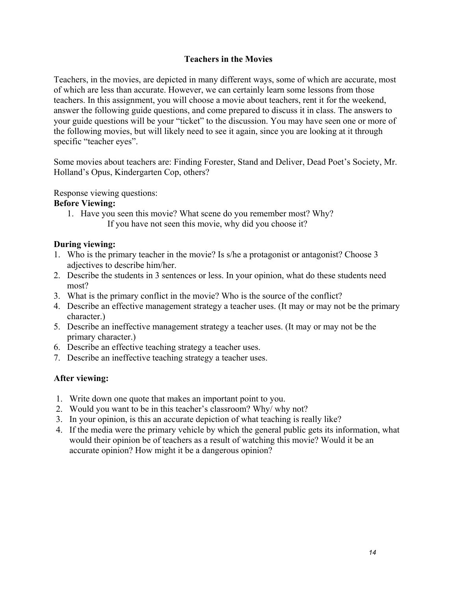## **Teachers in the Movies**

Teachers, in the movies, are depicted in many different ways, some of which are accurate, most of which are less than accurate. However, we can certainly learn some lessons from those teachers. In this assignment, you will choose a movie about teachers, rent it for the weekend, answer the following guide questions, and come prepared to discuss it in class. The answers to your guide questions will be your "ticket" to the discussion. You may have seen one or more of the following movies, but will likely need to see it again, since you are looking at it through specific "teacher eyes".

Some movies about teachers are: Finding Forester, Stand and Deliver, Dead Poet's Society, Mr. Holland's Opus, Kindergarten Cop, others?

Response viewing questions:

#### **Before Viewing:**

1. Have you seen this movie? What scene do you remember most? Why? If you have not seen this movie, why did you choose it?

## **During viewing:**

- 1. Who is the primary teacher in the movie? Is s/he a protagonist or antagonist? Choose 3 adjectives to describe him/her.
- 2. Describe the students in 3 sentences or less. In your opinion, what do these students need most?
- 3. What is the primary conflict in the movie? Who is the source of the conflict?
- 4. Describe an effective management strategy a teacher uses. (It may or may not be the primary character.)
- 5. Describe an ineffective management strategy a teacher uses. (It may or may not be the primary character.)
- 6. Describe an effective teaching strategy a teacher uses.
- 7. Describe an ineffective teaching strategy a teacher uses.

# **After viewing:**

- 1. Write down one quote that makes an important point to you.
- 2. Would you want to be in this teacher's classroom? Why/ why not?
- 3. In your opinion, is this an accurate depiction of what teaching is really like?
- 4. If the media were the primary vehicle by which the general public gets its information, what would their opinion be of teachers as a result of watching this movie? Would it be an accurate opinion? How might it be a dangerous opinion?